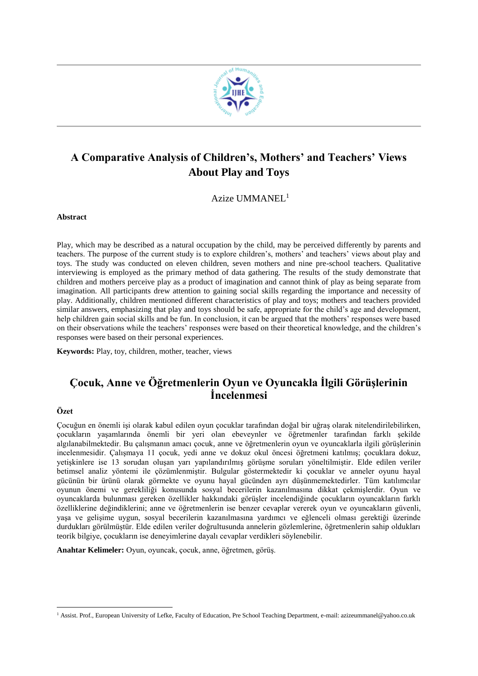

# **A Comparative Analysis of Children's, Mothers' and Teachers' Views About Play and Toys**

Azize UMMANEL<sup>1</sup>

**Abstract** 

Play, which may be described as a natural occupation by the child, may be perceived differently by parents and teachers. The purpose of the current study is to explore children's, mothers' and teachers' views about play and toys. The study was conducted on eleven children, seven mothers and nine pre-school teachers. Qualitative interviewing is employed as the primary method of data gathering. The results of the study demonstrate that children and mothers perceive play as a product of imagination and cannot think of play as being separate from imagination. All participants drew attention to gaining social skills regarding the importance and necessity of play. Additionally, children mentioned different characteristics of play and toys; mothers and teachers provided similar answers, emphasizing that play and toys should be safe, appropriate for the child's age and development, help children gain social skills and be fun. In conclusion, it can be argued that the mothers' responses were based on their observations while the teachers' responses were based on their theoretical knowledge, and the children's responses were based on their personal experiences.

**Keywords:** Play, toy, children, mother, teacher, views

# **Çocuk, Anne ve Öğretmenlerin Oyun ve Oyuncakla İlgili Görüşlerinin İncelenmesi**

#### **Özet**

<u>.</u>

Çocuğun en önemli işi olarak kabul edilen oyun çocuklar tarafından doğal bir uğraş olarak nitelendirilebilirken, çocukların yaşamlarında önemli bir yeri olan ebeveynler ve öğretmenler tarafından farklı şekilde algılanabilmektedir. Bu çalışmanın amacı çocuk, anne ve öğretmenlerin oyun ve oyuncaklarla ilgili görüşlerinin incelenmesidir. Çalışmaya 11 çocuk, yedi anne ve dokuz okul öncesi öğretmeni katılmış; çocuklara dokuz, yetişkinlere ise 13 sorudan oluşan yarı yapılandırılmış görüşme soruları yöneltilmiştir. Elde edilen veriler betimsel analiz yöntemi ile çözümlenmiştir. Bulgular göstermektedir ki çocuklar ve anneler oyunu hayal gücünün bir ürünü olarak görmekte ve oyunu hayal gücünden ayrı düşünmemektedirler. Tüm katılımcılar oyunun önemi ve gerekliliği konusunda sosyal becerilerin kazanılmasına dikkat çekmişlerdir. Oyun ve oyuncaklarda bulunması gereken özellikler hakkındaki görüşler incelendiğinde çocukların oyuncakların farklı özelliklerine değindiklerini; anne ve öğretmenlerin ise benzer cevaplar vererek oyun ve oyuncakların güvenli, yaşa ve gelişime uygun, sosyal becerilerin kazanılmasına yardımcı ve eğlenceli olması gerektiği üzerinde durdukları görülmüştür. Elde edilen veriler doğrultusunda annelerin gözlemlerine, öğretmenlerin sahip oldukları teorik bilgiye, çocukların ise deneyimlerine dayalı cevaplar verdikleri söylenebilir.

**Anahtar Kelimeler:** Oyun, oyuncak, çocuk, anne, öğretmen, görüş.

<sup>&</sup>lt;sup>1</sup> Assist. Prof., European University of Lefke, Faculty of Education, Pre School Teaching Department, e-mail: azizeummanel@yahoo.co.uk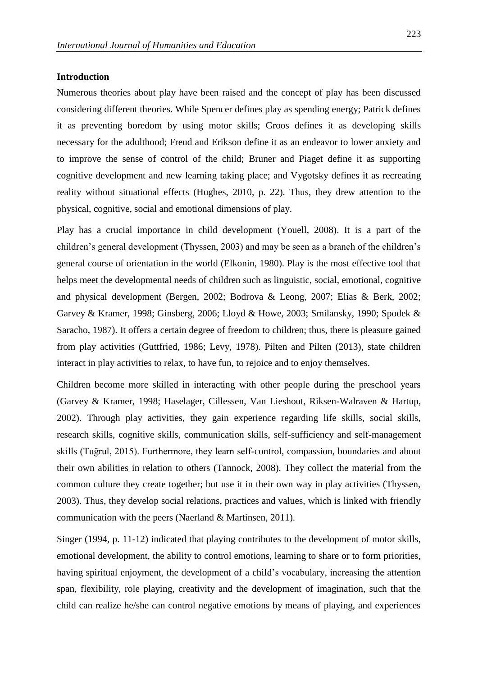#### **Introduction**

Numerous theories about play have been raised and the concept of play has been discussed considering different theories. While Spencer defines play as spending energy; Patrick defines it as preventing boredom by using motor skills; Groos defines it as developing skills necessary for the adulthood; Freud and Erikson define it as an endeavor to lower anxiety and to improve the sense of control of the child; Bruner and Piaget define it as supporting cognitive development and new learning taking place; and Vygotsky defines it as recreating reality without situational effects (Hughes, 2010, p. 22). Thus, they drew attention to the physical, cognitive, social and emotional dimensions of play.

Play has a crucial importance in child development (Youell, 2008). It is a part of the children's general development (Thyssen, 2003) and may be seen as a branch of the children's general course of orientation in the world (Elkonin, 1980). Play is the most effective tool that helps meet the developmental needs of children such as linguistic, social, emotional, cognitive and physical development (Bergen, 2002; Bodrova & Leong, 2007; Elias & Berk, 2002; Garvey & Kramer, 1998; Ginsberg, 2006; Lloyd & Howe, 2003; Smilansky, 1990; Spodek & Saracho, 1987). It offers a certain degree of freedom to children; thus, there is pleasure gained from play activities (Guttfried, 1986; Levy, 1978). Pilten and Pilten (2013), state children interact in play activities to relax, to have fun, to rejoice and to enjoy themselves.

Children become more skilled in interacting with other people during the preschool years (Garvey & Kramer, 1998; Haselager, Cillessen, Van Lieshout, Riksen-Walraven & Hartup, 2002). Through play activities, they gain experience regarding life skills, social skills, research skills, cognitive skills, communication skills, self-sufficiency and self-management skills (Tuğrul, 2015). Furthermore, they learn self-control, compassion, boundaries and about their own abilities in relation to others (Tannock, 2008). They collect the material from the common culture they create together; but use it in their own way in play activities (Thyssen, 2003). Thus, they develop social relations, practices and values, which is linked with friendly communication with the peers (Naerland & Martinsen, 2011).

Singer (1994, p. 11-12) indicated that playing contributes to the development of motor skills, emotional development, the ability to control emotions, learning to share or to form priorities, having spiritual enjoyment, the development of a child's vocabulary, increasing the attention span, flexibility, role playing, creativity and the development of imagination, such that the child can realize he/she can control negative emotions by means of playing, and experiences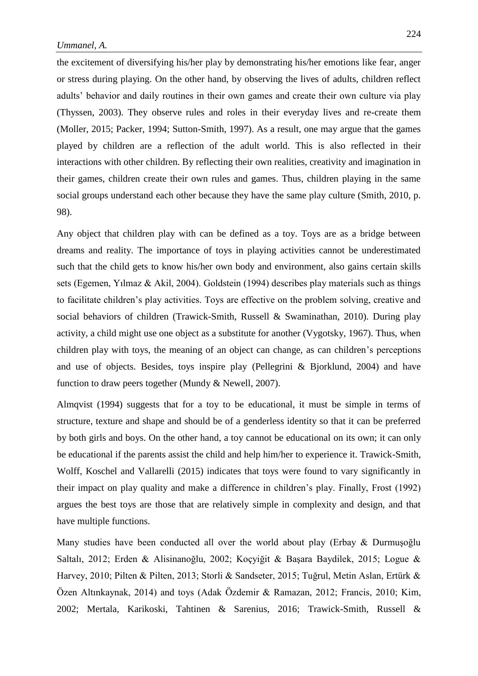the excitement of diversifying his/her play by demonstrating his/her emotions like fear, anger or stress during playing. On the other hand, by observing the lives of adults, children reflect adults' behavior and daily routines in their own games and create their own culture via play (Thyssen, 2003). They observe rules and roles in their everyday lives and re-create them (Moller, 2015; Packer, 1994; Sutton-Smith, 1997). As a result, one may argue that the games played by children are a reflection of the adult world. This is also reflected in their interactions with other children. By reflecting their own realities, creativity and imagination in their games, children create their own rules and games. Thus, children playing in the same social groups understand each other because they have the same play culture (Smith, 2010, p. 98).

Any object that children play with can be defined as a toy. Toys are as a bridge between dreams and reality. The importance of toys in playing activities cannot be underestimated such that the child gets to know his/her own body and environment, also gains certain skills sets (Egemen, Yılmaz & Akil, 2004). Goldstein (1994) describes play materials such as things to facilitate children's play activities. Toys are effective on the problem solving, creative and social behaviors of children (Trawick-Smith, Russell & Swaminathan, 2010). During play activity, a child might use one object as a substitute for another (Vygotsky, 1967). Thus, when children play with toys, the meaning of an object can change, as can children's perceptions and use of objects. Besides, toys inspire play (Pellegrini & Bjorklund, 2004) and have function to draw peers together (Mundy & Newell, 2007).

Almqvist (1994) suggests that for a toy to be educational, it must be simple in terms of structure, texture and shape and should be of a genderless identity so that it can be preferred by both girls and boys. On the other hand, a toy cannot be educational on its own; it can only be educational if the parents assist the child and help him/her to experience it. Trawick-Smith, Wolff, Koschel and Vallarelli (2015) indicates that toys were found to vary significantly in their impact on play quality and make a difference in children's play. Finally, Frost (1992) argues the best toys are those that are relatively simple in complexity and design, and that have multiple functions.

Many studies have been conducted all over the world about play (Erbay & Durmuşoğlu Saltalı, 2012; Erden & Alisinanoğlu, 2002; Koçyiğit & Başara Baydilek, 2015; Logue & Harvey, 2010; Pilten & Pilten, 2013; Storli & Sandseter, 2015; Tuğrul, Metin Aslan, Ertürk & Özen Altınkaynak, 2014) and toys (Adak Özdemir & Ramazan, 2012; Francis, 2010; Kim, 2002; Mertala, Karikoski, Tahtinen & Sarenius, 2016; Trawick-Smith, Russell &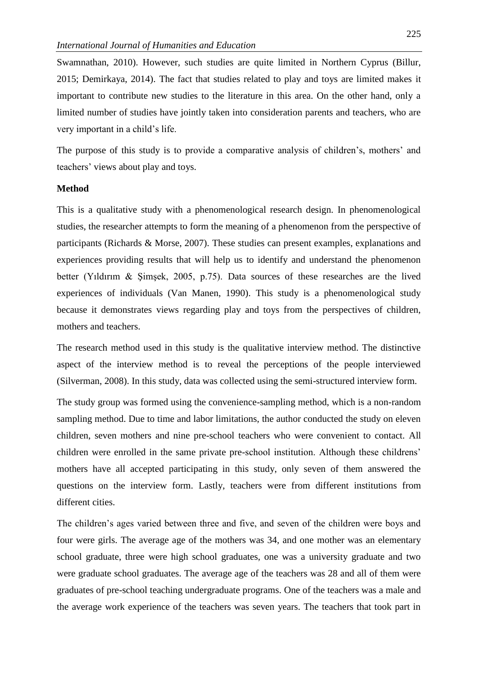Swamnathan, 2010). However, such studies are quite limited in Northern Cyprus (Billur, 2015; Demirkaya, 2014). The fact that studies related to play and toys are limited makes it important to contribute new studies to the literature in this area. On the other hand, only a limited number of studies have jointly taken into consideration parents and teachers, who are very important in a child's life.

The purpose of this study is to provide a comparative analysis of children's, mothers' and teachers' views about play and toys.

# **Method**

This is a qualitative study with a phenomenological research design. In phenomenological studies, the researcher attempts to form the meaning of a phenomenon from the perspective of participants (Richards & Morse, 2007). These studies can present examples, explanations and experiences providing results that will help us to identify and understand the phenomenon better (Yıldırım & Şimşek, 2005, p.75). Data sources of these researches are the lived experiences of individuals (Van Manen, 1990). This study is a phenomenological study because it demonstrates views regarding play and toys from the perspectives of children, mothers and teachers.

The research method used in this study is the qualitative interview method. The distinctive aspect of the interview method is to reveal the perceptions of the people interviewed (Silverman, 2008). In this study, data was collected using the semi-structured interview form.

The study group was formed using the convenience-sampling method, which is a non-random sampling method. Due to time and labor limitations, the author conducted the study on eleven children, seven mothers and nine pre-school teachers who were convenient to contact. All children were enrolled in the same private pre-school institution. Although these childrens' mothers have all accepted participating in this study, only seven of them answered the questions on the interview form. Lastly, teachers were from different institutions from different cities.

The children's ages varied between three and five, and seven of the children were boys and four were girls. The average age of the mothers was 34, and one mother was an elementary school graduate, three were high school graduates, one was a university graduate and two were graduate school graduates. The average age of the teachers was 28 and all of them were graduates of pre-school teaching undergraduate programs. One of the teachers was a male and the average work experience of the teachers was seven years. The teachers that took part in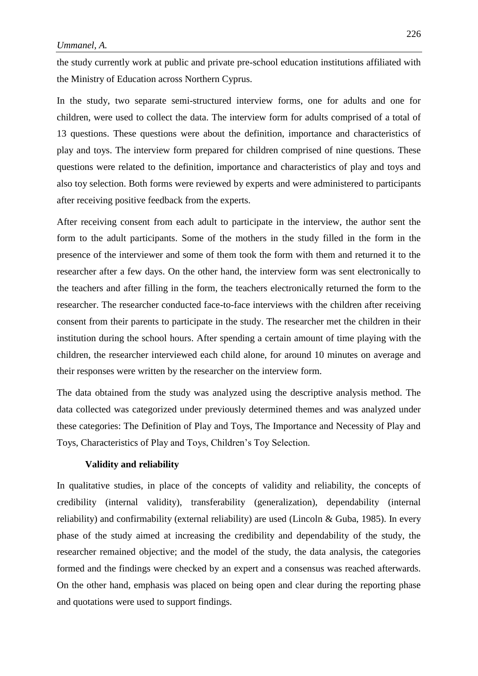the study currently work at public and private pre-school education institutions affiliated with the Ministry of Education across Northern Cyprus.

In the study, two separate semi-structured interview forms, one for adults and one for children, were used to collect the data. The interview form for adults comprised of a total of 13 questions. These questions were about the definition, importance and characteristics of play and toys. The interview form prepared for children comprised of nine questions. These questions were related to the definition, importance and characteristics of play and toys and also toy selection. Both forms were reviewed by experts and were administered to participants after receiving positive feedback from the experts.

After receiving consent from each adult to participate in the interview, the author sent the form to the adult participants. Some of the mothers in the study filled in the form in the presence of the interviewer and some of them took the form with them and returned it to the researcher after a few days. On the other hand, the interview form was sent electronically to the teachers and after filling in the form, the teachers electronically returned the form to the researcher. The researcher conducted face-to-face interviews with the children after receiving consent from their parents to participate in the study. The researcher met the children in their institution during the school hours. After spending a certain amount of time playing with the children, the researcher interviewed each child alone, for around 10 minutes on average and their responses were written by the researcher on the interview form.

The data obtained from the study was analyzed using the descriptive analysis method. The data collected was categorized under previously determined themes and was analyzed under these categories: The Definition of Play and Toys, The Importance and Necessity of Play and Toys, Characteristics of Play and Toys, Children's Toy Selection.

#### **Validity and reliability**

In qualitative studies, in place of the concepts of validity and reliability, the concepts of credibility (internal validity), transferability (generalization), dependability (internal reliability) and confirmability (external reliability) are used (Lincoln & Guba, 1985). In every phase of the study aimed at increasing the credibility and dependability of the study, the researcher remained objective; and the model of the study, the data analysis, the categories formed and the findings were checked by an expert and a consensus was reached afterwards. On the other hand, emphasis was placed on being open and clear during the reporting phase and quotations were used to support findings.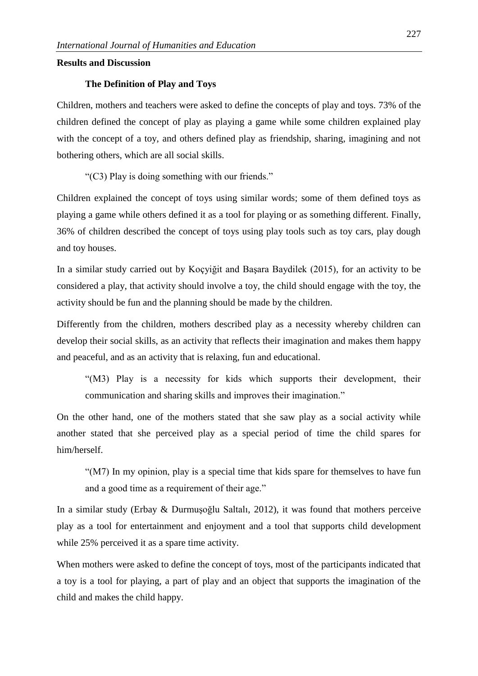## **Results and Discussion**

#### **The Definition of Play and Toys**

Children, mothers and teachers were asked to define the concepts of play and toys. 73% of the children defined the concept of play as playing a game while some children explained play with the concept of a toy, and others defined play as friendship, sharing, imagining and not bothering others, which are all social skills.

"(C3) Play is doing something with our friends."

Children explained the concept of toys using similar words; some of them defined toys as playing a game while others defined it as a tool for playing or as something different. Finally, 36% of children described the concept of toys using play tools such as toy cars, play dough and toy houses.

In a similar study carried out by Koçyiğit and Başara Baydilek (2015), for an activity to be considered a play, that activity should involve a toy, the child should engage with the toy, the activity should be fun and the planning should be made by the children.

Differently from the children, mothers described play as a necessity whereby children can develop their social skills, as an activity that reflects their imagination and makes them happy and peaceful, and as an activity that is relaxing, fun and educational.

"(M3) Play is a necessity for kids which supports their development, their communication and sharing skills and improves their imagination."

On the other hand, one of the mothers stated that she saw play as a social activity while another stated that she perceived play as a special period of time the child spares for him/herself.

"(M7) In my opinion, play is a special time that kids spare for themselves to have fun and a good time as a requirement of their age."

In a similar study (Erbay & Durmuşoğlu Saltalı, 2012), it was found that mothers perceive play as a tool for entertainment and enjoyment and a tool that supports child development while 25% perceived it as a spare time activity.

When mothers were asked to define the concept of toys, most of the participants indicated that a toy is a tool for playing, a part of play and an object that supports the imagination of the child and makes the child happy.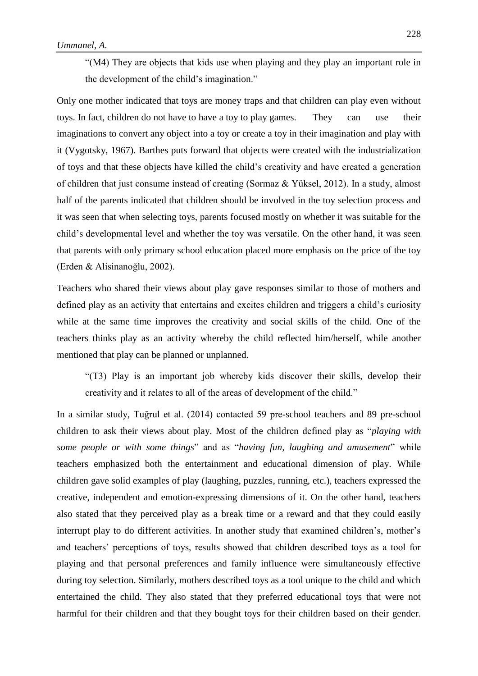"(M4) They are objects that kids use when playing and they play an important role in the development of the child's imagination."

Only one mother indicated that toys are money traps and that children can play even without toys. In fact, children do not have to have a toy to play games. They can use their imaginations to convert any object into a toy or create a toy in their imagination and play with it (Vygotsky, 1967). Barthes puts forward that objects were created with the industrialization of toys and that these objects have killed the child's creativity and have created a generation of children that just consume instead of creating (Sormaz & Yüksel, 2012). In a study, almost half of the parents indicated that children should be involved in the toy selection process and it was seen that when selecting toys, parents focused mostly on whether it was suitable for the child's developmental level and whether the toy was versatile. On the other hand, it was seen that parents with only primary school education placed more emphasis on the price of the toy (Erden & Alisinanoğlu, 2002).

Teachers who shared their views about play gave responses similar to those of mothers and defined play as an activity that entertains and excites children and triggers a child's curiosity while at the same time improves the creativity and social skills of the child. One of the teachers thinks play as an activity whereby the child reflected him/herself, while another mentioned that play can be planned or unplanned.

"(T3) Play is an important job whereby kids discover their skills, develop their creativity and it relates to all of the areas of development of the child."

In a similar study, Tuğrul et al. (2014) contacted 59 pre-school teachers and 89 pre-school children to ask their views about play. Most of the children defined play as "*playing with some people or with some things*" and as "*having fun, laughing and amusement*" while teachers emphasized both the entertainment and educational dimension of play. While children gave solid examples of play (laughing, puzzles, running, etc.), teachers expressed the creative, independent and emotion-expressing dimensions of it. On the other hand, teachers also stated that they perceived play as a break time or a reward and that they could easily interrupt play to do different activities. In another study that examined children's, mother's and teachers' perceptions of toys, results showed that children described toys as a tool for playing and that personal preferences and family influence were simultaneously effective during toy selection. Similarly, mothers described toys as a tool unique to the child and which entertained the child. They also stated that they preferred educational toys that were not harmful for their children and that they bought toys for their children based on their gender.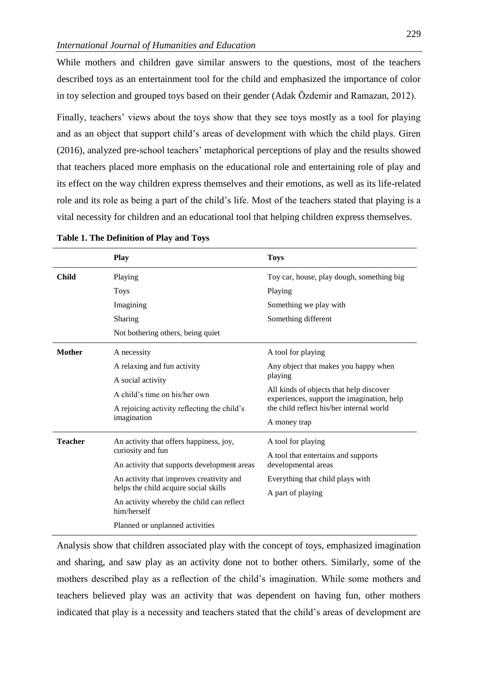While mothers and children gave similar answers to the questions, most of the teachers described toys as an entertainment tool for the child and emphasized the importance of color in toy selection and grouped toys based on their gender (Adak Özdemir and Ramazan, 2012).

Finally, teachers' views about the toys show that they see toys mostly as a tool for playing and as an object that support child's areas of development with which the child plays. Giren (2016), analyzed pre-school teachers' metaphorical perceptions of play and the results showed that teachers placed more emphasis on the educational role and entertaining role of play and its effect on the way children express themselves and their emotions, as well as its life-related role and its role as being a part of the child's life. Most of the teachers stated that playing is a vital necessity for children and an educational tool that helping children express themselves.

|                | <b>Play</b>                                                                       | <b>Toys</b>                                                                           |  |
|----------------|-----------------------------------------------------------------------------------|---------------------------------------------------------------------------------------|--|
| <b>Child</b>   | Playing                                                                           | Toy car, house, play dough, something big                                             |  |
|                | <b>Toys</b>                                                                       | Playing                                                                               |  |
|                | Imagining                                                                         | Something we play with                                                                |  |
|                | Sharing                                                                           | Something different                                                                   |  |
|                | Not bothering others, being quiet                                                 |                                                                                       |  |
| <b>Mother</b>  | A necessity                                                                       | A tool for playing                                                                    |  |
|                | A relaxing and fun activity                                                       | Any object that makes you happy when                                                  |  |
|                | A social activity                                                                 | playing                                                                               |  |
|                | A child's time on his/her own                                                     | All kinds of objects that help discover<br>experiences, support the imagination, help |  |
|                | A rejoicing activity reflecting the child's                                       | the child reflect his/her internal world                                              |  |
|                | imagination                                                                       | A money trap                                                                          |  |
| <b>Teacher</b> | An activity that offers happiness, joy,                                           | A tool for playing                                                                    |  |
|                | curiosity and fun                                                                 | A tool that entertains and supports                                                   |  |
|                | An activity that supports development areas                                       | developmental areas                                                                   |  |
|                | An activity that improves creativity and<br>helps the child acquire social skills | Everything that child plays with                                                      |  |
|                |                                                                                   | A part of playing                                                                     |  |
|                | An activity whereby the child can reflect<br>him/herself                          |                                                                                       |  |
|                | Planned or unplanned activities                                                   |                                                                                       |  |

| Table 1. The Definition of Play and Toys |  |  |  |  |  |
|------------------------------------------|--|--|--|--|--|
|------------------------------------------|--|--|--|--|--|

Analysis show that children associated play with the concept of toys, emphasized imagination and sharing, and saw play as an activity done not to bother others. Similarly, some of the mothers described play as a reflection of the child's imagination. While some mothers and teachers believed play was an activity that was dependent on having fun, other mothers indicated that play is a necessity and teachers stated that the child's areas of development are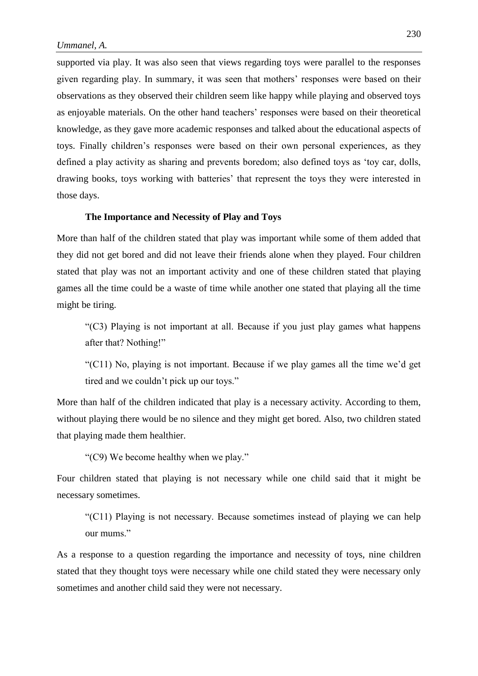supported via play. It was also seen that views regarding toys were parallel to the responses given regarding play. In summary, it was seen that mothers' responses were based on their observations as they observed their children seem like happy while playing and observed toys as enjoyable materials. On the other hand teachers' responses were based on their theoretical knowledge, as they gave more academic responses and talked about the educational aspects of toys. Finally children's responses were based on their own personal experiences, as they defined a play activity as sharing and prevents boredom; also defined toys as 'toy car, dolls, drawing books, toys working with batteries' that represent the toys they were interested in those days.

# **The Importance and Necessity of Play and Toys**

More than half of the children stated that play was important while some of them added that they did not get bored and did not leave their friends alone when they played. Four children stated that play was not an important activity and one of these children stated that playing games all the time could be a waste of time while another one stated that playing all the time might be tiring.

"(C3) Playing is not important at all. Because if you just play games what happens after that? Nothing!"

"(C11) No, playing is not important. Because if we play games all the time we'd get tired and we couldn't pick up our toys."

More than half of the children indicated that play is a necessary activity. According to them, without playing there would be no silence and they might get bored. Also, two children stated that playing made them healthier.

"(C9) We become healthy when we play."

Four children stated that playing is not necessary while one child said that it might be necessary sometimes.

"(C11) Playing is not necessary. Because sometimes instead of playing we can help our mums."

As a response to a question regarding the importance and necessity of toys, nine children stated that they thought toys were necessary while one child stated they were necessary only sometimes and another child said they were not necessary.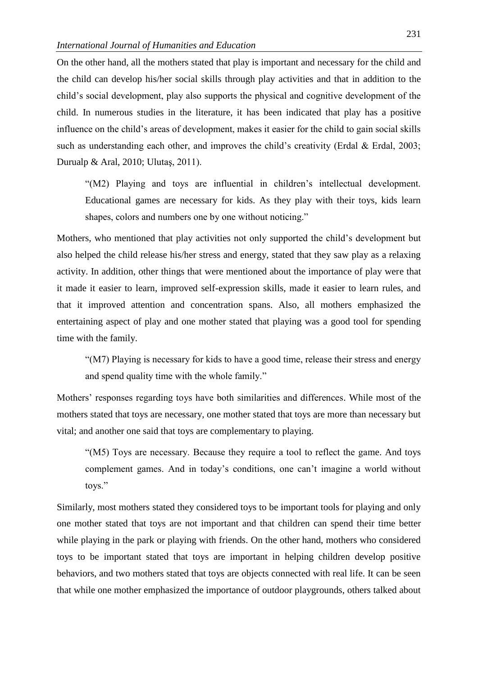On the other hand, all the mothers stated that play is important and necessary for the child and the child can develop his/her social skills through play activities and that in addition to the child's social development, play also supports the physical and cognitive development of the child. In numerous studies in the literature, it has been indicated that play has a positive influence on the child's areas of development, makes it easier for the child to gain social skills such as understanding each other, and improves the child's creativity (Erdal & Erdal, 2003; Durualp & Aral, 2010; Ulutaş, 2011).

"(M2) Playing and toys are influential in children's intellectual development. Educational games are necessary for kids. As they play with their toys, kids learn shapes, colors and numbers one by one without noticing."

Mothers, who mentioned that play activities not only supported the child's development but also helped the child release his/her stress and energy, stated that they saw play as a relaxing activity. In addition, other things that were mentioned about the importance of play were that it made it easier to learn, improved self-expression skills, made it easier to learn rules, and that it improved attention and concentration spans. Also, all mothers emphasized the entertaining aspect of play and one mother stated that playing was a good tool for spending time with the family.

"(M7) Playing is necessary for kids to have a good time, release their stress and energy and spend quality time with the whole family."

Mothers' responses regarding toys have both similarities and differences. While most of the mothers stated that toys are necessary, one mother stated that toys are more than necessary but vital; and another one said that toys are complementary to playing.

"(M5) Toys are necessary. Because they require a tool to reflect the game. And toys complement games. And in today's conditions, one can't imagine a world without toys."

Similarly, most mothers stated they considered toys to be important tools for playing and only one mother stated that toys are not important and that children can spend their time better while playing in the park or playing with friends. On the other hand, mothers who considered toys to be important stated that toys are important in helping children develop positive behaviors, and two mothers stated that toys are objects connected with real life. It can be seen that while one mother emphasized the importance of outdoor playgrounds, others talked about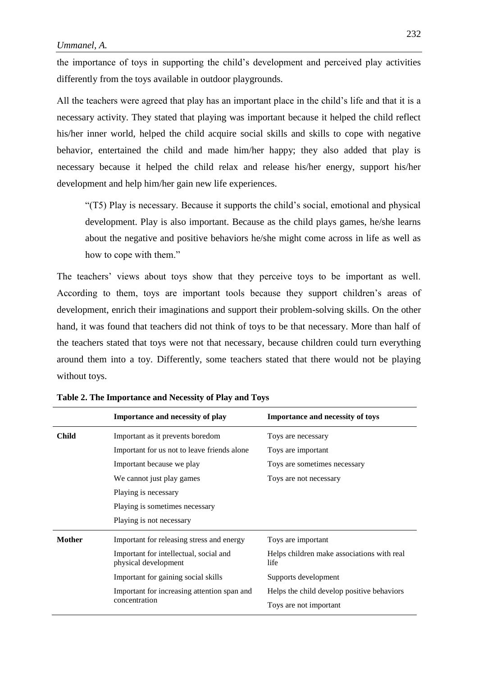the importance of toys in supporting the child's development and perceived play activities differently from the toys available in outdoor playgrounds.

All the teachers were agreed that play has an important place in the child's life and that it is a necessary activity. They stated that playing was important because it helped the child reflect his/her inner world, helped the child acquire social skills and skills to cope with negative behavior, entertained the child and made him/her happy; they also added that play is necessary because it helped the child relax and release his/her energy, support his/her development and help him/her gain new life experiences.

"(T5) Play is necessary. Because it supports the child's social, emotional and physical development. Play is also important. Because as the child plays games, he/she learns about the negative and positive behaviors he/she might come across in life as well as how to cope with them."

The teachers' views about toys show that they perceive toys to be important as well. According to them, toys are important tools because they support children's areas of development, enrich their imaginations and support their problem-solving skills. On the other hand, it was found that teachers did not think of toys to be that necessary. More than half of the teachers stated that toys were not that necessary, because children could turn everything around them into a toy. Differently, some teachers stated that there would not be playing without toys.

|               | Importance and necessity of play                               | <b>Importance and necessity of toys</b>            |
|---------------|----------------------------------------------------------------|----------------------------------------------------|
| <b>Child</b>  | Important as it prevents boredom                               | Toys are necessary                                 |
|               | Important for us not to leave friends alone                    | Toys are important                                 |
|               | Important because we play                                      | Toys are sometimes necessary                       |
|               | We cannot just play games                                      | Toys are not necessary                             |
|               | Playing is necessary                                           |                                                    |
|               | Playing is sometimes necessary                                 |                                                    |
|               | Playing is not necessary                                       |                                                    |
| <b>Mother</b> | Important for releasing stress and energy                      | Toys are important                                 |
|               | Important for intellectual, social and<br>physical development | Helps children make associations with real<br>life |
|               | Important for gaining social skills                            | Supports development                               |
|               | Important for increasing attention span and<br>concentration   | Helps the child develop positive behaviors         |
|               |                                                                | Toys are not important                             |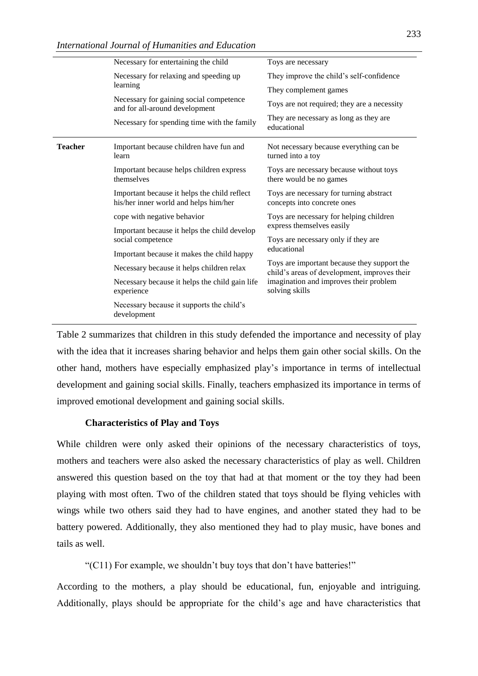|                | Necessary for entertaining the child                                                  | Toys are necessary                                                                          |
|----------------|---------------------------------------------------------------------------------------|---------------------------------------------------------------------------------------------|
|                | Necessary for relaxing and speeding up                                                | They improve the child's self-confidence                                                    |
|                | learning                                                                              | They complement games                                                                       |
|                | Necessary for gaining social competence<br>and for all-around development             | Toys are not required; they are a necessity                                                 |
|                | Necessary for spending time with the family                                           | They are necessary as long as they are<br>educational                                       |
| <b>Teacher</b> | Important because children have fun and<br>learn                                      | Not necessary because everything can be<br>turned into a toy                                |
|                | Important because helps children express<br>themselves                                | Toys are necessary because without toys<br>there would be no games                          |
|                | Important because it helps the child reflect<br>his/her inner world and helps him/her | Toys are necessary for turning abstract<br>concepts into concrete ones                      |
|                | cope with negative behavior                                                           | Toys are necessary for helping children                                                     |
|                | Important because it helps the child develop<br>social competence                     | express themselves easily                                                                   |
|                |                                                                                       | Toys are necessary only if they are<br>educational                                          |
|                | Important because it makes the child happy                                            |                                                                                             |
|                | Necessary because it helps children relax                                             | Toys are important because they support the<br>child's areas of development, improves their |
|                | Necessary because it helps the child gain life<br>experience                          | imagination and improves their problem<br>solving skills                                    |
|                | Necessary because it supports the child's<br>development                              |                                                                                             |

Table 2 summarizes that children in this study defended the importance and necessity of play with the idea that it increases sharing behavior and helps them gain other social skills. On the other hand, mothers have especially emphasized play's importance in terms of intellectual development and gaining social skills. Finally, teachers emphasized its importance in terms of improved emotional development and gaining social skills.

#### **Characteristics of Play and Toys**

While children were only asked their opinions of the necessary characteristics of toys, mothers and teachers were also asked the necessary characteristics of play as well. Children answered this question based on the toy that had at that moment or the toy they had been playing with most often. Two of the children stated that toys should be flying vehicles with wings while two others said they had to have engines, and another stated they had to be battery powered. Additionally, they also mentioned they had to play music, have bones and tails as well.

"(C11) For example, we shouldn't buy toys that don't have batteries!"

According to the mothers, a play should be educational, fun, enjoyable and intriguing. Additionally, plays should be appropriate for the child's age and have characteristics that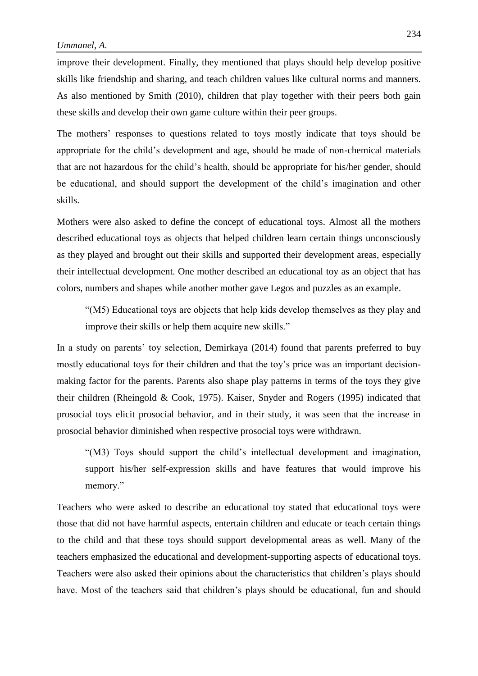improve their development. Finally, they mentioned that plays should help develop positive skills like friendship and sharing, and teach children values like cultural norms and manners. As also mentioned by Smith (2010), children that play together with their peers both gain these skills and develop their own game culture within their peer groups.

The mothers' responses to questions related to toys mostly indicate that toys should be appropriate for the child's development and age, should be made of non-chemical materials that are not hazardous for the child's health, should be appropriate for his/her gender, should be educational, and should support the development of the child's imagination and other skills.

Mothers were also asked to define the concept of educational toys. Almost all the mothers described educational toys as objects that helped children learn certain things unconsciously as they played and brought out their skills and supported their development areas, especially their intellectual development. One mother described an educational toy as an object that has colors, numbers and shapes while another mother gave Legos and puzzles as an example.

"(M5) Educational toys are objects that help kids develop themselves as they play and improve their skills or help them acquire new skills."

In a study on parents' toy selection, Demirkaya (2014) found that parents preferred to buy mostly educational toys for their children and that the toy's price was an important decisionmaking factor for the parents. Parents also shape play patterns in terms of the toys they give their children (Rheingold & Cook, 1975). Kaiser, Snyder and Rogers (1995) indicated that prosocial toys elicit prosocial behavior, and in their study, it was seen that the increase in prosocial behavior diminished when respective prosocial toys were withdrawn.

"(M3) Toys should support the child's intellectual development and imagination, support his/her self-expression skills and have features that would improve his memory."

Teachers who were asked to describe an educational toy stated that educational toys were those that did not have harmful aspects, entertain children and educate or teach certain things to the child and that these toys should support developmental areas as well. Many of the teachers emphasized the educational and development-supporting aspects of educational toys. Teachers were also asked their opinions about the characteristics that children's plays should have. Most of the teachers said that children's plays should be educational, fun and should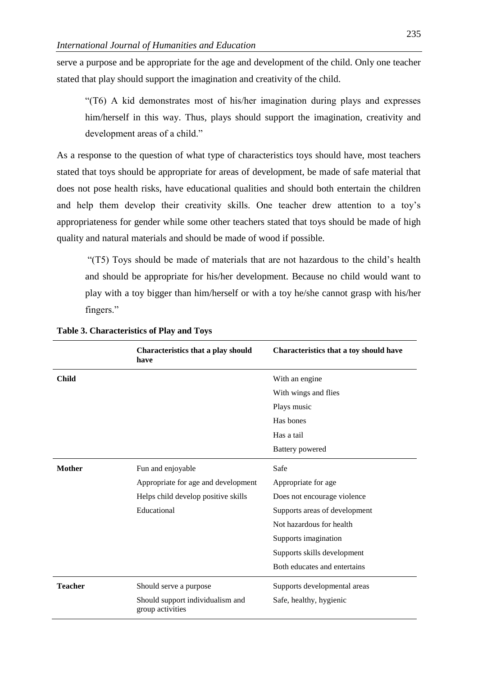serve a purpose and be appropriate for the age and development of the child. Only one teacher stated that play should support the imagination and creativity of the child.

"(T6) A kid demonstrates most of his/her imagination during plays and expresses him/herself in this way. Thus, plays should support the imagination, creativity and development areas of a child."

As a response to the question of what type of characteristics toys should have, most teachers stated that toys should be appropriate for areas of development, be made of safe material that does not pose health risks, have educational qualities and should both entertain the children and help them develop their creativity skills. One teacher drew attention to a toy's appropriateness for gender while some other teachers stated that toys should be made of high quality and natural materials and should be made of wood if possible.

"(T5) Toys should be made of materials that are not hazardous to the child's health and should be appropriate for his/her development. Because no child would want to play with a toy bigger than him/herself or with a toy he/she cannot grasp with his/her fingers."

|                | Characteristics that a play should<br>have           | Characteristics that a toy should have |
|----------------|------------------------------------------------------|----------------------------------------|
| <b>Child</b>   |                                                      | With an engine                         |
|                |                                                      | With wings and flies                   |
|                |                                                      | Plays music                            |
|                |                                                      | Has bones                              |
|                |                                                      | Has a tail                             |
|                |                                                      | <b>Battery</b> powered                 |
| <b>Mother</b>  | Fun and enjoyable                                    | Safe                                   |
|                | Appropriate for age and development                  | Appropriate for age                    |
|                | Helps child develop positive skills                  | Does not encourage violence            |
|                | Educational                                          | Supports areas of development          |
|                |                                                      | Not hazardous for health               |
|                |                                                      | Supports imagination                   |
|                |                                                      | Supports skills development            |
|                |                                                      | Both educates and entertains           |
| <b>Teacher</b> | Should serve a purpose                               | Supports developmental areas           |
|                | Should support individualism and<br>group activities | Safe, healthy, hygienic                |

**Table 3. Characteristics of Play and Toys**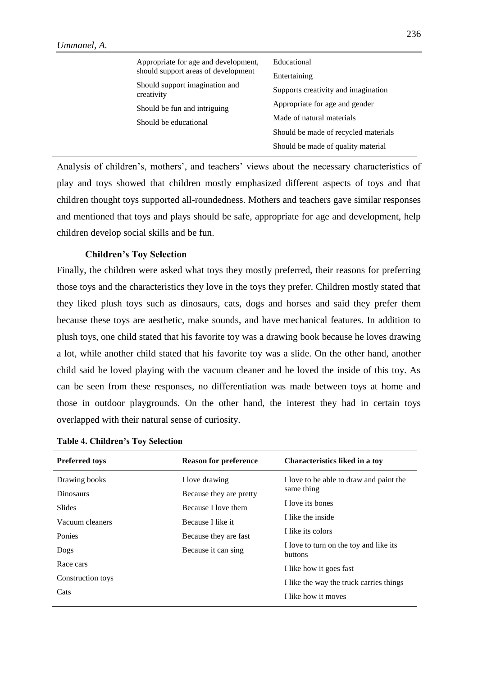|                                                       | Appropriate for age and development,         | Educational                          |
|-------------------------------------------------------|----------------------------------------------|--------------------------------------|
|                                                       | should support areas of development          | Entertaining                         |
|                                                       | Should support imagination and<br>creativity | Supports creativity and imagination  |
| Should be fun and intriguing<br>Should be educational |                                              | Appropriate for age and gender       |
|                                                       |                                              | Made of natural materials            |
|                                                       |                                              | Should be made of recycled materials |
|                                                       |                                              | Should be made of quality material   |
|                                                       |                                              |                                      |

Analysis of children's, mothers', and teachers' views about the necessary characteristics of play and toys showed that children mostly emphasized different aspects of toys and that children thought toys supported all-roundedness. Mothers and teachers gave similar responses and mentioned that toys and plays should be safe, appropriate for age and development, help children develop social skills and be fun.

# **Children's Toy Selection**

Finally, the children were asked what toys they mostly preferred, their reasons for preferring those toys and the characteristics they love in the toys they prefer. Children mostly stated that they liked plush toys such as dinosaurs, cats, dogs and horses and said they prefer them because these toys are aesthetic, make sounds, and have mechanical features. In addition to plush toys, one child stated that his favorite toy was a drawing book because he loves drawing a lot, while another child stated that his favorite toy was a slide. On the other hand, another child said he loved playing with the vacuum cleaner and he loved the inside of this toy. As can be seen from these responses, no differentiation was made between toys at home and those in outdoor playgrounds. On the other hand, the interest they had in certain toys overlapped with their natural sense of curiosity.

| <b>Preferred toys</b> | <b>Reason for preference</b> | <b>Characteristics liked in a toy</b>             |
|-----------------------|------------------------------|---------------------------------------------------|
| Drawing books         | I love drawing               | I love to be able to draw and paint the           |
| <b>Dinosaurs</b>      | Because they are pretty      | same thing                                        |
| Slides                | Because I love them          | I love its bones                                  |
| Vacuum cleaners       | Because I like it            | I like the inside                                 |
| Ponies                | Because they are fast        | I like its colors                                 |
| Dogs                  | Because it can sing          | I love to turn on the toy and like its<br>buttons |
| Race cars             |                              | I like how it goes fast                           |
| Construction toys     |                              | I like the way the truck carries things           |
| Cats                  |                              | I like how it moves                               |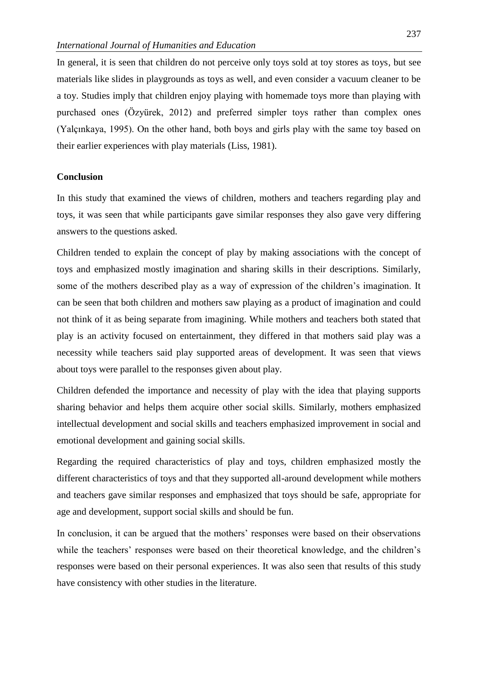In general, it is seen that children do not perceive only toys sold at toy stores as toys, but see materials like slides in playgrounds as toys as well, and even consider a vacuum cleaner to be a toy. Studies imply that children enjoy playing with homemade toys more than playing with purchased ones (Özyürek, 2012) and preferred simpler toys rather than complex ones (Yalçınkaya, 1995). On the other hand, both boys and girls play with the same toy based on their earlier experiences with play materials (Liss, 1981).

#### **Conclusion**

In this study that examined the views of children, mothers and teachers regarding play and toys, it was seen that while participants gave similar responses they also gave very differing answers to the questions asked.

Children tended to explain the concept of play by making associations with the concept of toys and emphasized mostly imagination and sharing skills in their descriptions. Similarly, some of the mothers described play as a way of expression of the children's imagination. It can be seen that both children and mothers saw playing as a product of imagination and could not think of it as being separate from imagining. While mothers and teachers both stated that play is an activity focused on entertainment, they differed in that mothers said play was a necessity while teachers said play supported areas of development. It was seen that views about toys were parallel to the responses given about play.

Children defended the importance and necessity of play with the idea that playing supports sharing behavior and helps them acquire other social skills. Similarly, mothers emphasized intellectual development and social skills and teachers emphasized improvement in social and emotional development and gaining social skills.

Regarding the required characteristics of play and toys, children emphasized mostly the different characteristics of toys and that they supported all-around development while mothers and teachers gave similar responses and emphasized that toys should be safe, appropriate for age and development, support social skills and should be fun.

In conclusion, it can be argued that the mothers' responses were based on their observations while the teachers' responses were based on their theoretical knowledge, and the children's responses were based on their personal experiences. It was also seen that results of this study have consistency with other studies in the literature.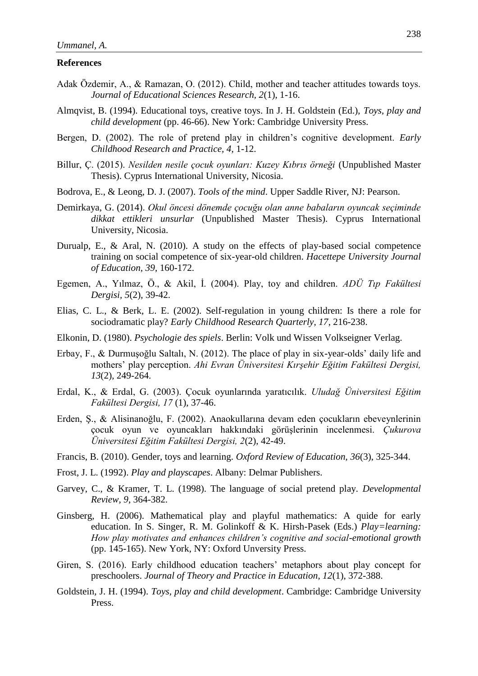# **References**

- Adak Özdemir, A., & Ramazan, O. (2012). Child, mother and teacher attitudes towards toys. *Journal of Educational Sciences Research, 2*(1), 1-16.
- Almqvist, B. (1994). Educational toys, creative toys. In J. H. Goldstein (Ed.), *Toys, play and child development* (pp. 46-66). New York: Cambridge University Press.
- Bergen, D. (2002). The role of pretend play in children's cognitive development. *Early Childhood Research and Practice, 4*, 1-12.
- Billur, Ç. (2015). *Nesilden nesile çocuk oyunları: Kuzey Kıbrıs örneği* (Unpublished Master Thesis). Cyprus International University, Nicosia.
- Bodrova, E., & Leong, D. J. (2007). *Tools of the mind*. Upper Saddle River, NJ: Pearson.
- Demirkaya, G. (2014). *Okul öncesi dönemde çocuğu olan anne babaların oyuncak seçiminde dikkat ettikleri unsurlar* (Unpublished Master Thesis). Cyprus International University, Nicosia.
- Durualp, E., & Aral, N. (2010). A study on the effects of play-based social competence training on social competence of six-year-old children. *Hacettepe University Journal of Education, 39*, 160-172.
- Egemen, A., Yılmaz, Ö., & Akil, İ. (2004). Play, toy and children. *ADÜ Tıp Fakültesi Dergisi, 5*(2), 39-42.
- Elias, C. L., & Berk, L. E. (2002). Self-regulation in young children: Is there a role for sociodramatic play? *Early Childhood Research Quarterly, 17*, 216-238.
- Elkonin, D. (1980). *Psychologie des spiels*. Berlin: Volk und Wissen Volkseigner Verlag.
- Erbay, F., & Durmuşoğlu Saltalı, N. (2012). The place of play in six-year-olds' daily life and mothers' play perception. *Ahi Evran Üniversitesi Kırşehir Eğitim Fakültesi Dergisi, 13*(2), 249-264.
- Erdal, K., & Erdal, G. (2003). Çocuk oyunlarında yaratıcılık. *Uludağ Üniversitesi Eğitim Fakültesi Dergisi, 17* (1), 37-46.
- Erden, Ş., & Alisinanoğlu, F. (2002). Anaokullarına devam eden çocukların ebeveynlerinin çocuk oyun ve oyuncakları hakkındaki görüşlerinin incelenmesi. *Çukurova Üniversitesi Eğitim Fakültesi Dergisi, 2*(2), 42-49.
- Francis, B. (2010). Gender, toys and learning. *Oxford Review of Education, 36*(3), 325-344.
- Frost, J. L. (1992). *Play and playscapes*. Albany: Delmar Publishers.
- Garvey, C., & Kramer, T. L. (1998). The language of social pretend play. *Developmental Review, 9*, 364-382.
- Ginsberg, H. (2006). Mathematical play and playful mathematics: A quide for early education. In S. Singer, R. M. Golinkoff & K. Hirsh-Pasek (Eds.) *Play=learning: How play motivates and enhances children's cognitive and social-emotional growth* (pp. 145-165). New York, NY: Oxford Unversity Press.
- Giren, S. (2016). Early childhood education teachers' metaphors about play concept for preschoolers. *Journal of Theory and Practice in Education, 12*(1), 372-388.
- Goldstein, J. H. (1994). *Toys, play and child development*. Cambridge: Cambridge University Press.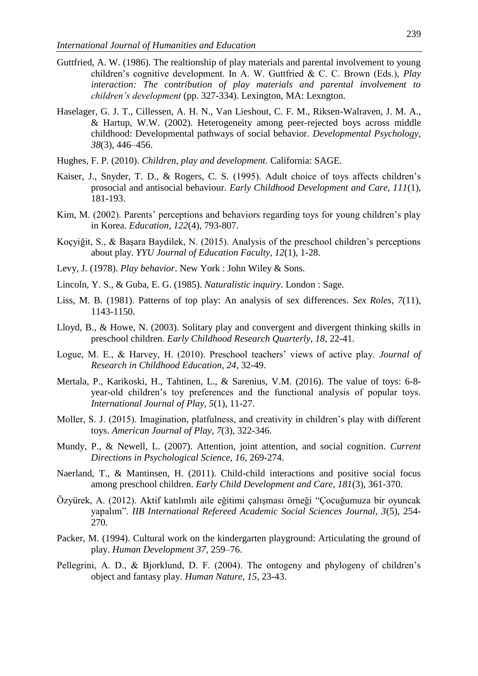- Guttfried, A. W. (1986). The realtionship of play materials and parental involvement to young children's cognitive development. In A. W. Guttfried & C. C. Brown (Eds.), *Play interaction: The contribution of play materials and parental involvement to children's development* (pp. 327-334). Lexington, MA: Lexngton.
- Haselager, G. J. T., Cillessen, A. H. N., Van Lieshout, C. F. M., Riksen-Walraven, J. M. A., & Hartup, W.W. (2002). Heterogeneity among peer-rejected boys across middle childhood: Developmental pathways of social behavior. *Developmental Psychology, 38*(3), 446–456.
- Hughes, F. P. (2010). *Children, play and development*. California: SAGE.
- Kaiser, J., Snyder, T. D., & Rogers, C. S. (1995). Adult choice of toys affects children's prosocial and antisocial behaviour. *Early Childhood Development and Care, 111*(1), 181-193.
- Kim, M. (2002). Parents' perceptions and behaviors regarding toys for young children's play in Korea. *Education, 122*(4), 793-807.
- Koçyiğit, S., & Başara Baydilek, N. (2015). Analysis of the preschool children's perceptions about play. *YYU Journal of Education Faculty, 12*(1), 1-28.
- Levy, J. (1978). *Play behavior*. New York : John Wiley & Sons.
- Lincoln, Y. S., & Guba, E. G. (1985). *Naturalistic inquiry*. London : Sage.
- Liss, M. B. (1981). Patterns of top play: An analysis of sex differences. *Sex Roles, 7*(11), 1143-1150.
- Lloyd, B., & Howe, N. (2003). Solitary play and convergent and divergent thinking skills in preschool children. *Early Childhood Research Quarterly, 18*, 22-41.
- Logue, M. E., & Harvey, H. (2010). Preschool teachers' views of active play. *Journal of Research in Childhood Education, 24*, 32-49.
- Mertala, P., Karikoski, H., Tahtinen, L., & Sarenius, V.M. (2016). The value of toys: 6-8 year-old children's toy preferences and the functional analysis of popular toys. *International Journal of Play, 5*(1), 11-27.
- Moller, S. J. (2015). Imagination, platfulness, and creativity in children's play with different toys. *American Journal of Play, 7*(3), 322-346.
- Mundy, P., & Newell, L. (2007). Attention, joint attention, and social cognition. *Current Directions in Psychological Science, 16*, 269-274.
- Naerland, T., & Mantinsen, H. (2011). Child-child interactions and positive social focus among preschool children. *Early Child Development and Care, 181*(3), 361-370.
- Özyürek, A. (2012). Aktif katılımlı aile eğitimi çalışması örneği "Çocuğumuza bir oyuncak yapalım". *IIB International Refereed Academic Social Sciences Journal, 3*(5), 254- 270.
- Packer, M. (1994). Cultural work on the kindergarten playground: Articulating the ground of play. *Human Development 37*, 259–76.
- Pellegrini, A. D., & Bjorklund, D. F. (2004). The ontogeny and phylogeny of children's object and fantasy play. *Human Nature, 15*, 23-43.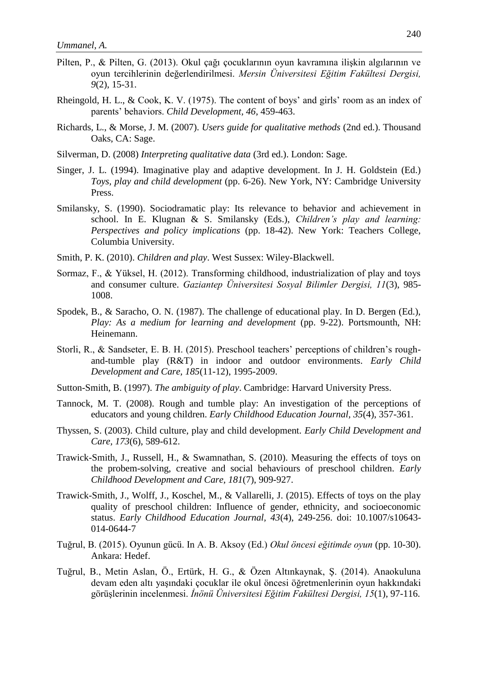- Pilten, P., & Pilten, G. (2013). Okul çağı çocuklarının oyun kavramına ilişkin algılarının ve oyun tercihlerinin değerlendirilmesi. *Mersin Üniversitesi Eğitim Fakültesi Dergisi, 9*(2), 15-31.
- Rheingold, H. L., & Cook, K. V. (1975). The content of boys' and girls' room as an index of parents' behaviors. *Child Development, 46*, 459-463.
- Richards, L., & Morse, J. M. (2007). *Users guide for qualitative methods* (2nd ed.). Thousand Oaks, CA: Sage.
- Silverman, D. (2008) *Interpreting qualitative data* (3rd ed.). London: Sage.
- Singer, J. L. (1994). Imaginative play and adaptive development. In J. H. Goldstein (Ed.) *Toys, play and child development* (pp. 6-26). New York, NY: Cambridge University Press.
- Smilansky, S. (1990). Sociodramatic play: Its relevance to behavior and achievement in school. In E. Klugnan & S. Smilansky (Eds.), *Children's play and learning: Perspectives and policy implications* (pp. 18-42). New York: Teachers College, Columbia University.
- Smith, P. K. (2010). *Children and play*. West Sussex: Wiley-Blackwell.
- Sormaz, F., & Yüksel, H. (2012). Transforming childhood, industrialization of play and toys and consumer culture. *Gaziantep Üniversitesi Sosyal Bilimler Dergisi, 11*(3), 985- 1008.
- Spodek, B., & Saracho, O. N. (1987). The challenge of educational play. In D. Bergen (Ed.), *Play: As a medium for learning and development* (pp. 9-22). Portsmounth, NH: Heinemann.
- Storli, R., & Sandseter, E. B. H. (2015). Preschool teachers' perceptions of children's roughand-tumble play (R&T) in indoor and outdoor environments. *Early Child Development and Care, 185*(11-12), 1995-2009.
- Sutton-Smith, B. (1997). *The ambiguity of play*. Cambridge: Harvard University Press.
- Tannock, M. T. (2008). Rough and tumble play: An investigation of the perceptions of educators and young children. *Early Childhood Education Journal, 35*(4), 357-361.
- Thyssen, S. (2003). Child culture, play and child development. *Early Child Development and Care, 173*(6), 589-612.
- Trawick-Smith, J., Russell, H., & Swamnathan, S. (2010). Measuring the effects of toys on the probem-solving, creative and social behaviours of preschool children. *Early Childhood Development and Care, 181*(7), 909-927.
- Trawick-Smith, J., Wolff, J., Koschel, M., & Vallarelli, J. (2015). Effects of toys on the play quality of preschool children: Influence of gender, ethnicity, and socioeconomic status. *Early Childhood Education Journal, 43*(4), 249-256. doi: 10.1007/s10643- 014-0644-7
- Tuğrul, B. (2015). Oyunun gücü. In A. B. Aksoy (Ed.) *Okul öncesi eğitimde oyun* (pp. 10-30). Ankara: Hedef.
- Tuğrul, B., Metin Aslan, Ö., Ertürk, H. G., & Özen Altınkaynak, Ş. (2014). Anaokuluna devam eden altı yaşındaki çocuklar ile okul öncesi öğretmenlerinin oyun hakkındaki görüşlerinin incelenmesi. *İnönü Üniversitesi Eğitim Fakültesi Dergisi, 15*(1), 97-116.